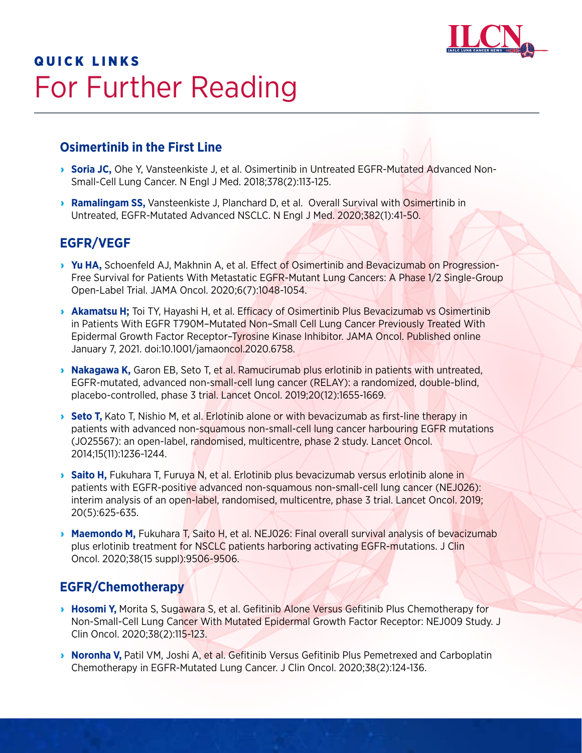

# **QUICK LINKS** For Further Reading

### **Osimertinib in the First Line**

- › **[Soria JC,](https://pubmed.ncbi.nlm.nih.gov/29151359/)** Ohe Y, Vansteenkiste J, et al. Osimertinib in Untreated EGFR-Mutated Advanced Non-Small-Cell Lung Cancer. N Engl J Med. 2018;378(2):113-125.
- **[Ramalingam SS](https://pubmed.ncbi.nlm.nih.gov/31751012/)**, Vansteenkiste J, Planchard D, et al. Overall Survival with Osimertinib in Untreated, EGFR-Mutated Advanced NSCLC. N Engl J Med. 2020;382(1):41-50.

#### **EGFR/VEGF**

- › **[Yu](https://pubmed.ncbi.nlm.nih.gov/32463456/) HA,** Schoenfeld AJ, Makhnin A, et al. Effect of Osimertinib and Bevacizumab on Progression-Free Survival for Patients With Metastatic EGFR-Mutant Lung Cancers: A Phase 1/2 Single-Group Open-Label Trial. JAMA Oncol. 2020;6(7):1048-1054.
- **[Akamatsu H](https://jamanetwork.com/journals/jamaoncology/fullarticle/2774521)**; Toi TY, Hayashi H, et al. Efficacy of Osimertinib Plus Bevacizumab vs Osimertinib in Patients With EGFR T790M–Mutated Non–Small Cell Lung Cancer Previously Treated With Epidermal Growth Factor Receptor–Tyrosine Kinase Inhibitor. JAMA Oncol. Published online January 7, 2021. doi:10.1001/jamaoncol.2020.6758.
- › **[Nakagawa K,](https://pubmed.ncbi.nlm.nih.gov/31591063/)** Garon EB, Seto T, et al. Ramucirumab plus erlotinib in patients with untreated, EGFR-mutated, advanced non-small-cell lung cancer (RELAY): a randomized, double-blind, placebo-controlled, phase 3 trial. Lancet Oncol. 2019;20(12):1655-1669.
- **[Seto T,](https://www.thelancet.com/journals/lanonc/article/PIIS1470-2045(14)70381-X/fulltext)** Kato T, Nishio M, et al. Erlotinib alone or with bevacizumab as first-line therapy in patients with advanced non-squamous non-small-cell lung cancer harbouring EGFR mutations (JO25567): an open-label, randomised, multicentre, phase 2 study. Lancet Oncol. 2014;15(11):1236-1244.
- › **[Saito H,](https://pubmed.ncbi.nlm.nih.gov/30975627/)** Fukuhara T, Furuya N, et al. Erlotinib plus bevacizumab versus erlotinib alone in patients with EGFR-positive advanced non-squamous non-small-cell lung cancer (NEJ026): interim analysis of an open-label, randomised, multicentre, phase 3 trial. Lancet Oncol. 2019; 20(5):625-635.
- **[Maemondo M,](https://ascopubs.org/doi/abs/10.1200/jco.2020.38.15_suppl.9506)** Fukuhara T, Saito H, et al. NEJ026: Final overall survival analysis of bevacizumab plus erlotinib treatment for NSCLC patients harboring activating EGFR-mutations. J Clin Oncol. 2020;38(15 suppl):9506-9506.

### **EGFR/Chemotherapy**

- **B [Hosomi Y,](https://pubmed.ncbi.nlm.nih.gov/31682542/)** Morita S, Sugawara S, et al. Gefitinib Alone Versus Gefitinib Plus Chemotherapy for Non-Small-Cell Lung Cancer With Mutated Epidermal Growth Factor Receptor: NEJ009 Study. J Clin Oncol. 2020;38(2):115-123.
- › **[Noronha V](https://pubmed.ncbi.nlm.nih.gov/31411950/),** Patil VM, Joshi A, et al. Gefitinib Versus Gefitinib Plus Pemetrexed and Carboplatin Chemotherapy in EGFR-Mutated Lung Cancer. J Clin Oncol. 2020;38(2):124-136.